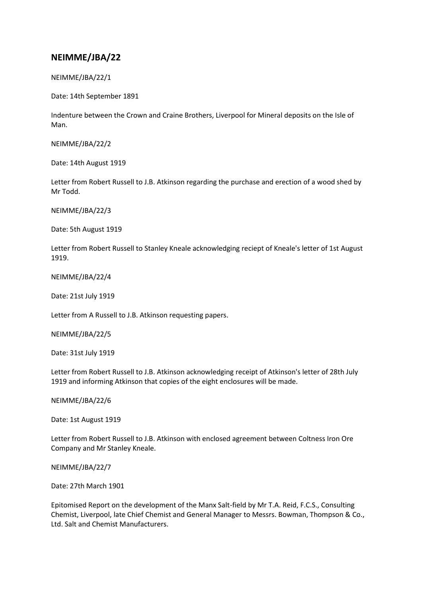## **NEIMME/JBA/22**

NEIMME/JBA/22/1

Date: 14th September 1891

Indenture between the Crown and Craine Brothers, Liverpool for Mineral deposits on the Isle of Man.

NEIMME/JBA/22/2

Date: 14th August 1919

Letter from Robert Russell to J.B. Atkinson regarding the purchase and erection of a wood shed by Mr Todd.

NEIMME/JBA/22/3

Date: 5th August 1919

Letter from Robert Russell to Stanley Kneale acknowledging reciept of Kneale's letter of 1st August 1919.

NEIMME/JBA/22/4

Date: 21st July 1919

Letter from A Russell to J.B. Atkinson requesting papers.

NEIMME/JBA/22/5

Date: 31st July 1919

Letter from Robert Russell to J.B. Atkinson acknowledging receipt of Atkinson's letter of 28th July 1919 and informing Atkinson that copies of the eight enclosures will be made.

NEIMME/JBA/22/6

Date: 1st August 1919

Letter from Robert Russell to J.B. Atkinson with enclosed agreement between Coltness Iron Ore Company and Mr Stanley Kneale.

NEIMME/JBA/22/7

Date: 27th March 1901

Epitomised Report on the development of the Manx Salt-field by Mr T.A. Reid, F.C.S., Consulting Chemist, Liverpool, late Chief Chemist and General Manager to Messrs. Bowman, Thompson & Co., Ltd. Salt and Chemist Manufacturers.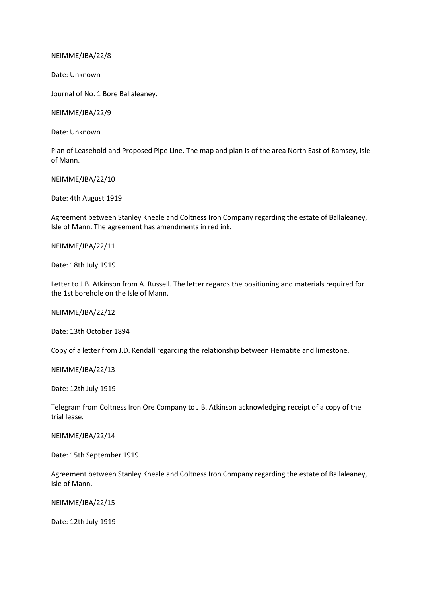NEIMME/JBA/22/8

Date: Unknown

Journal of No. 1 Bore Ballaleaney.

NEIMME/JBA/22/9

Date: Unknown

Plan of Leasehold and Proposed Pipe Line. The map and plan is of the area North East of Ramsey, Isle of Mann.

NEIMME/JBA/22/10

Date: 4th August 1919

Agreement between Stanley Kneale and Coltness Iron Company regarding the estate of Ballaleaney, Isle of Mann. The agreement has amendments in red ink.

NEIMME/JBA/22/11

Date: 18th July 1919

Letter to J.B. Atkinson from A. Russell. The letter regards the positioning and materials required for the 1st borehole on the Isle of Mann.

NEIMME/JBA/22/12

Date: 13th October 1894

Copy of a letter from J.D. Kendall regarding the relationship between Hematite and limestone.

NEIMME/JBA/22/13

Date: 12th July 1919

Telegram from Coltness Iron Ore Company to J.B. Atkinson acknowledging receipt of a copy of the trial lease.

NEIMME/JBA/22/14

Date: 15th September 1919

Agreement between Stanley Kneale and Coltness Iron Company regarding the estate of Ballaleaney, Isle of Mann.

NEIMME/JBA/22/15

Date: 12th July 1919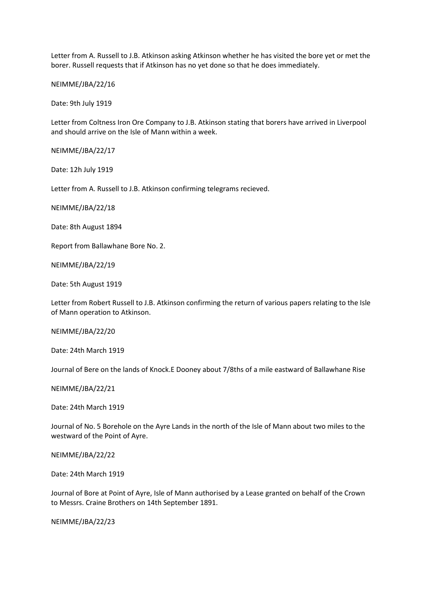Letter from A. Russell to J.B. Atkinson asking Atkinson whether he has visited the bore yet or met the borer. Russell requests that if Atkinson has no yet done so that he does immediately.

NEIMME/JBA/22/16

Date: 9th July 1919

Letter from Coltness Iron Ore Company to J.B. Atkinson stating that borers have arrived in Liverpool and should arrive on the Isle of Mann within a week.

NEIMME/JBA/22/17

Date: 12h July 1919

Letter from A. Russell to J.B. Atkinson confirming telegrams recieved.

NEIMME/JBA/22/18

Date: 8th August 1894

Report from Ballawhane Bore No. 2.

NEIMME/JBA/22/19

Date: 5th August 1919

Letter from Robert Russell to J.B. Atkinson confirming the return of various papers relating to the Isle of Mann operation to Atkinson.

NEIMME/JBA/22/20

Date: 24th March 1919

Journal of Bere on the lands of Knock.E Dooney about 7/8ths of a mile eastward of Ballawhane Rise

NEIMME/JBA/22/21

Date: 24th March 1919

Journal of No. 5 Borehole on the Ayre Lands in the north of the Isle of Mann about two miles to the westward of the Point of Ayre.

NEIMME/JBA/22/22

Date: 24th March 1919

Journal of Bore at Point of Ayre, Isle of Mann authorised by a Lease granted on behalf of the Crown to Messrs. Craine Brothers on 14th September 1891.

NEIMME/JBA/22/23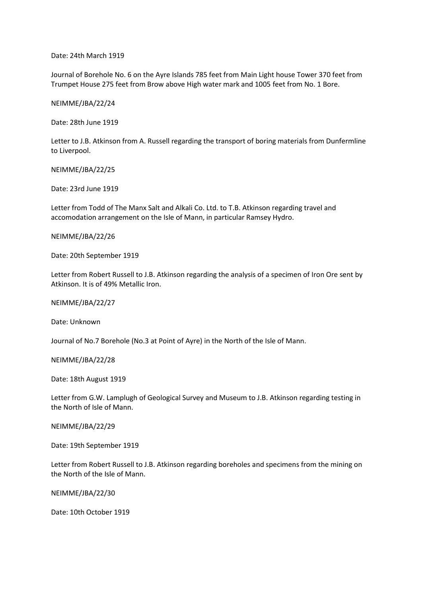Date: 24th March 1919

Journal of Borehole No. 6 on the Ayre Islands 785 feet from Main Light house Tower 370 feet from Trumpet House 275 feet from Brow above High water mark and 1005 feet from No. 1 Bore.

NEIMME/JBA/22/24

Date: 28th June 1919

Letter to J.B. Atkinson from A. Russell regarding the transport of boring materials from Dunfermline to Liverpool.

NEIMME/JBA/22/25

Date: 23rd June 1919

Letter from Todd of The Manx Salt and Alkali Co. Ltd. to T.B. Atkinson regarding travel and accomodation arrangement on the Isle of Mann, in particular Ramsey Hydro.

NEIMME/JBA/22/26

Date: 20th September 1919

Letter from Robert Russell to J.B. Atkinson regarding the analysis of a specimen of Iron Ore sent by Atkinson. It is of 49% Metallic Iron.

NEIMME/JBA/22/27

Date: Unknown

Journal of No.7 Borehole (No.3 at Point of Ayre) in the North of the Isle of Mann.

NEIMME/JBA/22/28

Date: 18th August 1919

Letter from G.W. Lamplugh of Geological Survey and Museum to J.B. Atkinson regarding testing in the North of Isle of Mann.

NEIMME/JBA/22/29

Date: 19th September 1919

Letter from Robert Russell to J.B. Atkinson regarding boreholes and specimens from the mining on the North of the Isle of Mann.

NEIMME/JBA/22/30

Date: 10th October 1919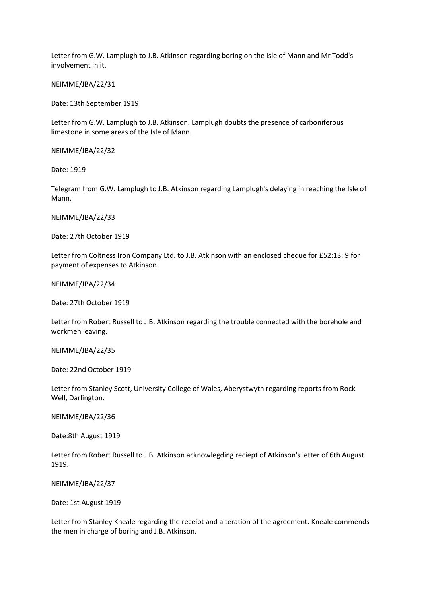Letter from G.W. Lamplugh to J.B. Atkinson regarding boring on the Isle of Mann and Mr Todd's involvement in it.

NEIMME/JBA/22/31

Date: 13th September 1919

Letter from G.W. Lamplugh to J.B. Atkinson. Lamplugh doubts the presence of carboniferous limestone in some areas of the Isle of Mann.

NEIMME/JBA/22/32

Date: 1919

Telegram from G.W. Lamplugh to J.B. Atkinson regarding Lamplugh's delaying in reaching the Isle of Mann.

NEIMME/JBA/22/33

Date: 27th October 1919

Letter from Coltness Iron Company Ltd. to J.B. Atkinson with an enclosed cheque for £52:13: 9 for payment of expenses to Atkinson.

NEIMME/JBA/22/34

Date: 27th October 1919

Letter from Robert Russell to J.B. Atkinson regarding the trouble connected with the borehole and workmen leaving.

NEIMME/JBA/22/35

Date: 22nd October 1919

Letter from Stanley Scott, University College of Wales, Aberystwyth regarding reports from Rock Well, Darlington.

NEIMME/JBA/22/36

Date:8th August 1919

Letter from Robert Russell to J.B. Atkinson acknowlegding reciept of Atkinson's letter of 6th August 1919.

NEIMME/JBA/22/37

Date: 1st August 1919

Letter from Stanley Kneale regarding the receipt and alteration of the agreement. Kneale commends the men in charge of boring and J.B. Atkinson.